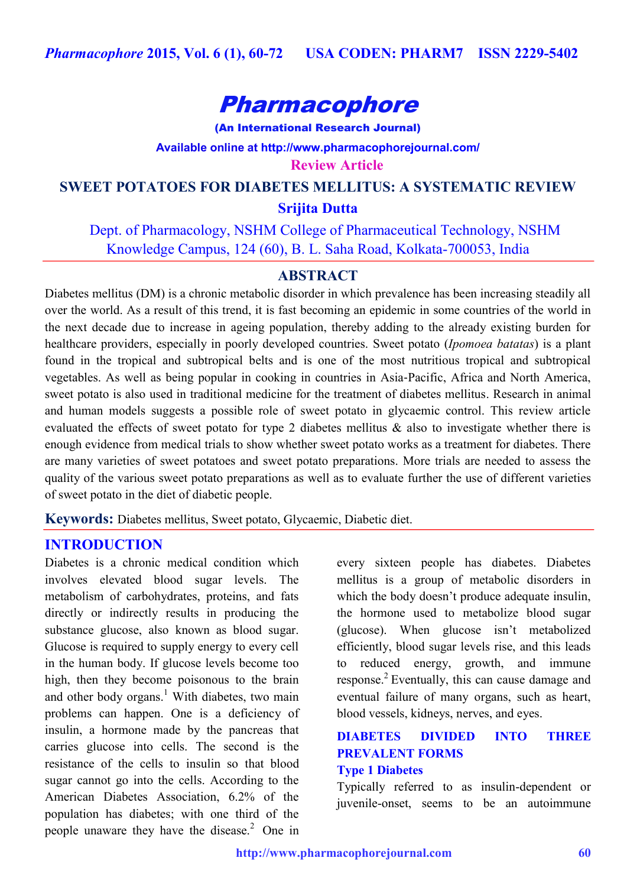

(An International Research Journal) **Available online at<http://www.pharmacophorejournal.com/> Review Article**

**SWEET POTATOES FOR DIABETES MELLITUS: A SYSTEMATIC REVIEW Srijita Dutta**

 Dept. of Pharmacology, NSHM College of Pharmaceutical Technology, NSHM Knowledge Campus, 124 (60), B. L. Saha Road, Kolkata-700053, India

## **ABSTRACT**

Diabetes mellitus (DM) is a chronic metabolic disorder in which prevalence has been increasing steadily all over the world. As a result of this trend, it is fast becoming an epidemic in some countries of the world in the next decade due to increase in ageing population, thereby adding to the already existing burden for healthcare providers, especially in poorly developed countries. Sweet potato (*Ipomoea batatas*) is a plant found in the tropical and subtropical belts and is one of the most nutritious tropical and subtropical vegetables. As well as being popular in cooking in countries in Asia‐Pacific, Africa and North America, sweet potato is also used in traditional medicine for the treatment of diabetes mellitus. Research in animal and human models suggests a possible role of sweet potato in glycaemic control. This review article evaluated the effects of sweet potato for type 2 diabetes mellitus & also to investigate whether there is enough evidence from medical trials to show whether sweet potato works as a treatment for diabetes. There are many varieties of sweet potatoes and sweet potato preparations. More trials are needed to assess the quality of the various sweet potato preparations as well as to evaluate further the use of different varieties of sweet potato in the diet of diabetic people.

**Keywords:** Diabetes mellitus, Sweet potato, Glycaemic, Diabetic diet.

## **INTRODUCTION**

Diabetes is a chronic medical condition which involves elevated blood sugar levels. The metabolism of carbohydrates, proteins, and fats directly or indirectly results in producing the substance glucose, also known as blood sugar. Glucose is required to supply energy to every cell in the human body. If glucose levels become too high, then they become poisonous to the brain and other body organs. <sup>1</sup> With diabetes, two main problems can happen. One is a deficiency of insulin, a hormone made by the pancreas that carries glucose into cells. The second is the resistance of the cells to insulin so that blood sugar cannot go into the cells. According to the American Diabetes Association, 6.2% of the population has diabetes; with one third of the people unaware they have the disease. $^{2}$  One in

every sixteen people has diabetes. Diabetes mellitus is a group of metabolic disorders in which the body doesn't produce adequate insulin, the hormone used to metabolize blood sugar (glucose). When glucose isn't metabolized efficiently, blood sugar levels rise, and this leads to reduced energy, growth, and immune response.<sup>2</sup> Eventually, this can cause damage and eventual failure of many organs, such as heart, blood vessels, kidneys, nerves, and eyes.

### **DIABETES DIVIDED INTO THREE PREVALENT FORMS Type 1 Diabetes**

Typically referred to as insulin-dependent or juvenile-onset, seems to be an autoimmune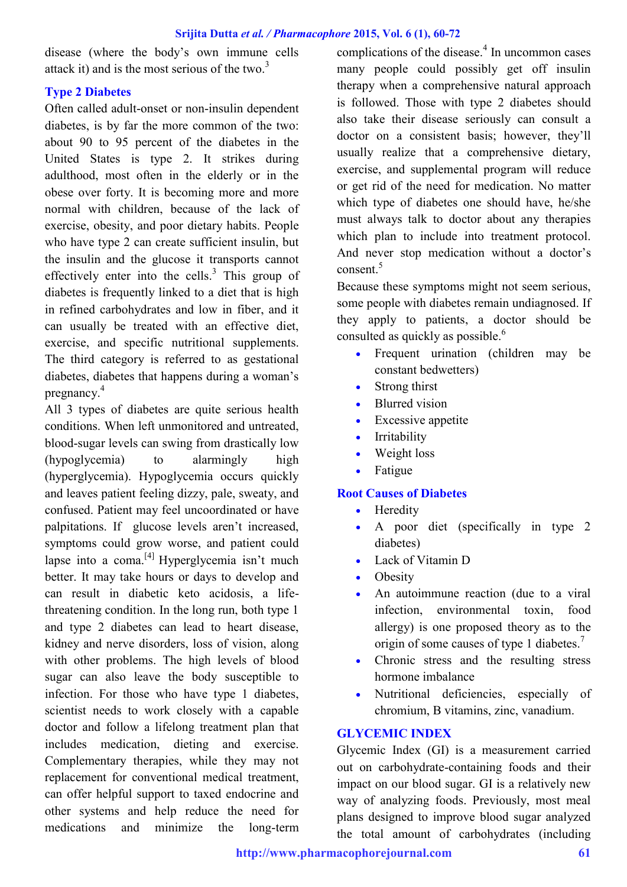disease (where the body's own immune cells attack it) and is the most serious of the two. $3$ 

### **Type 2 Diabetes**

Often called adult-onset or non-insulin dependent diabetes, is by far the more common of the two: about 90 to 95 percent of the diabetes in the United States is type 2. It strikes during adulthood, most often in the elderly or in the obese over forty. It is becoming more and more normal with children, because of the lack of exercise, obesity, and poor dietary habits. People who have type 2 can create sufficient insulin, but the insulin and the glucose it transports cannot effectively enter into the cells. $3$  This group of diabetes is frequently linked to a diet that is high in refined carbohydrates and low in fiber, and it can usually be treated with an effective diet, exercise, and specific nutritional supplements. The third category is referred to as gestational diabetes, diabetes that happens during a woman's pregnancy.<sup>4</sup>

All 3 types of diabetes are quite serious health conditions. When left unmonitored and untreated, blood-sugar levels can swing from drastically low (hypoglycemia) to alarmingly high (hyperglycemia). Hypoglycemia occurs quickly and leaves patient feeling dizzy, pale, sweaty, and confused. Patient may feel uncoordinated or have palpitations. If glucose levels aren't increased, symptoms could grow worse, and patient could lapse into a coma.<sup>[4]</sup> Hyperglycemia isn't much better. It may take hours or days to develop and can result in diabetic keto acidosis, a lifethreatening condition. In the long run, both type 1 and type 2 diabetes can lead to heart disease, kidney and nerve disorders, loss of vision, along with other problems. The high levels of blood sugar can also leave the body susceptible to infection. For those who have type 1 diabetes, scientist needs to work closely with a capable doctor and follow a lifelong treatment plan that includes medication, dieting and exercise. Complementary therapies, while they may not replacement for conventional medical treatment, can offer helpful support to taxed endocrine and other systems and help reduce the need for medications and minimize the long-term

complications of the disease. $<sup>4</sup>$  In uncommon cases</sup> many people could possibly get off insulin therapy when a comprehensive natural approach is followed. Those with type 2 diabetes should also take their disease seriously can consult a doctor on a consistent basis; however, they'll usually realize that a comprehensive dietary, exercise, and supplemental program will reduce or get rid of the need for medication. No matter which type of diabetes one should have, he/she must always talk to doctor about any therapies which plan to include into treatment protocol. And never stop medication without a doctor's consent. $5$ 

Because these symptoms might not seem serious, some people with diabetes remain undiagnosed. If they apply to patients, a doctor should be consulted as quickly as possible.<sup>6</sup>

- Frequent urination (children may be constant bedwetters)
- Strong thirst
- Blurred vision
- Excessive appetite
- Irritability
- Weight loss
- Fatigue

## **Root Causes of Diabetes**

- Heredity
- A poor diet (specifically in type 2 diabetes)
- Lack of Vitamin D
- **Obesity**
- An autoimmune reaction (due to a viral infection, environmental toxin, food allergy) is one proposed theory as to the origin of some causes of type 1 diabetes.<sup>7</sup>
- Chronic stress and the resulting stress hormone imbalance
- Nutritional deficiencies, especially of chromium, B vitamins, zinc, vanadium.

### **GLYCEMIC INDEX**

Glycemic Index (GI) is a measurement carried out on carbohydrate-containing foods and their impact on our blood sugar. GI is a relatively new way of analyzing foods. Previously, most meal plans designed to improve blood sugar analyzed the total amount of carbohydrates (including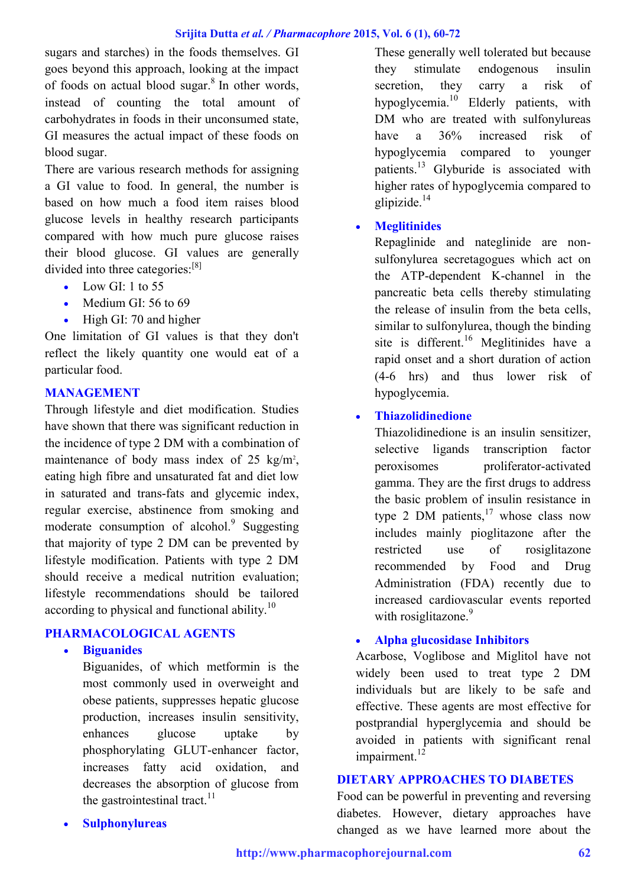sugars and starches) in the foods themselves. GI goes beyond this approach, looking at the impact of foods on actual blood sugar.<sup>8</sup> In other words, instead of counting the total amount of carbohydrates in foods in their unconsumed state, GI measures the actual impact of these foods on blood sugar.

There are various research methods for assigning a GI value to food. In general, the number is based on how much a food item raises blood glucose levels in healthy research participants compared with how much pure glucose raises their blood glucose. GI values are generally divided into three categories:<sup>[8]</sup>

- Low GI: 1 to  $55$
- $\bullet$  Medium GI: 56 to 69
- $\bullet$  High GI: 70 and higher

One limitation of GI values is that they don't reflect the likely quantity one would eat of a particular food.

#### **MANAGEMENT**

Through lifestyle and diet modification. Studies have shown that there was significant reduction in the incidence of type 2 DM with a combination of maintenance of body mass index of  $25 \text{ kg/m}^2$ , eating high fibre and unsaturated fat and diet low in saturated and trans-fats and glycemic index, regular exercise, abstinence from smoking and moderate consumption of alcohol.<sup>9</sup> Suggesting that majority of type 2 DM can be prevented by lifestyle modification. Patients with type 2 DM should receive a medical nutrition evaluation; lifestyle recommendations should be tailored according to physical and functional ability.<sup>10</sup>

### **PHARMACOLOGICAL AGENTS**

### **Biguanides**

Biguanides, of which metformin is the most commonly used in overweight and obese patients, suppresses hepatic glucose production, increases insulin sensitivity, enhances glucose uptake by phosphorylating GLUT-enhancer factor, increases fatty acid oxidation, and decreases the absorption of glucose from the gastrointestinal tract. $^{11}$ 

These generally well tolerated but because they stimulate endogenous insulin secretion, they carry a risk of hypoglycemia.<sup>10</sup> Elderly patients, with DM who are treated with sulfonylureas have a 36% increased risk of hypoglycemia compared to younger patients.<sup>13</sup> Glyburide is associated with higher rates of hypoglycemia compared to glipizide.<sup>14</sup>

### **Meglitinides**

Repaglinide and nateglinide are nonsulfonylurea secretagogues which act on the ATP-dependent K-channel in the pancreatic beta cells thereby stimulating the release of insulin from the beta cells, similar to sulfonylurea, though the binding site is different.<sup>16</sup> Meglitinides have a rapid onset and a short duration of action (4-6 hrs) and thus lower risk of hypoglycemia.

### **Thiazolidinedione**

Thiazolidinedione is an insulin sensitizer, selective ligands transcription factor peroxisomes proliferator-activated gamma. They are the first drugs to address the basic problem of insulin resistance in type 2 DM patients, $17$  whose class now includes mainly pioglitazone after the restricted use of rosiglitazone recommended by Food and Drug Administration (FDA) recently due to increased cardiovascular events reported with rosiglitazone.<sup>9</sup>

### **Alpha glucosidase Inhibitors**

Acarbose, Voglibose and Miglitol have not widely been used to treat type 2 DM individuals but are likely to be safe and effective. These agents are most effective for postprandial hyperglycemia and should be avoided in patients with significant renal impairment.<sup>12</sup>

### **DIETARY APPROACHES TO DIABETES**

Food can be powerful in preventing and reversing diabetes. However, dietary approaches have changed as we have learned more about the

**Sulphonylureas**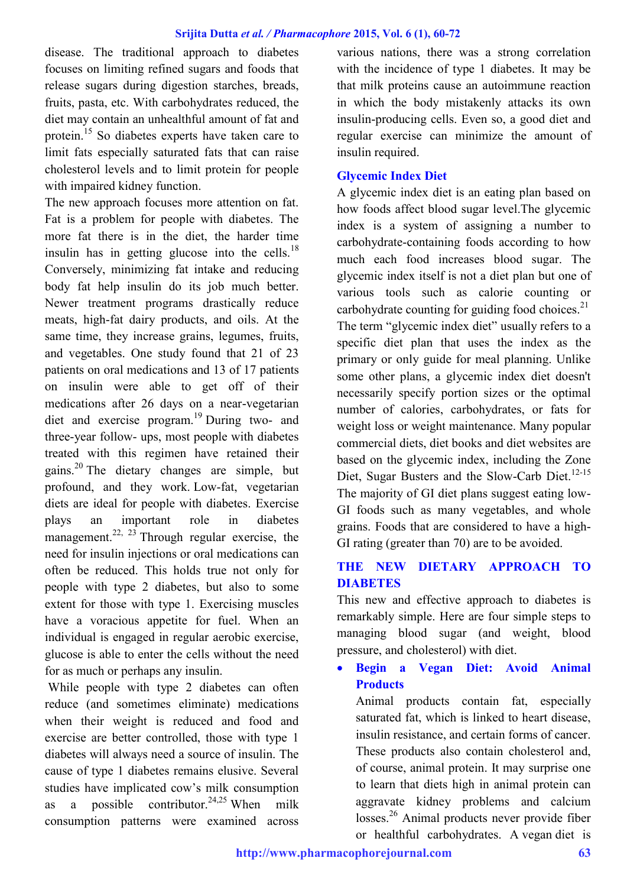disease. The traditional approach to diabetes focuses on limiting refined sugars and foods that release sugars during digestion starches, breads, fruits, pasta, etc. With carbohydrates reduced, the diet may contain an unhealthful amount of fat and protein.<sup>15</sup> So diabetes experts have taken care to limit fats especially saturated fats that can raise cholesterol levels and to limit protein for people with impaired kidney function.

The new approach focuses more attention on fat. Fat is a problem for people with diabetes. The more fat there is in the diet, the harder time insulin has in getting glucose into the cells. $^{18}$ Conversely, minimizing fat intake and reducing body fat help insulin do its job much better. Newer treatment programs drastically reduce meats, high-fat dairy products, and oils. At the same time, they increase grains, legumes, fruits, and vegetables. One study found that 21 of 23 patients on oral medications and 13 of 17 patients on insulin were able to get off of their medications after 26 days on a near-vegetarian diet and exercise program.<sup>19</sup> During two- and three-year follow- ups, most people with diabetes treated with this regimen have retained their gains.<sup>20</sup> The dietary changes are simple, but profound, and they work. Low-fat, vegetarian diets are ideal for people with diabetes. Exercise plays an important role in diabetes management.<sup>22, 23</sup> Through regular exercise, the need for insulin injections or oral medications can often be reduced. This holds true not only for people with type 2 diabetes, but also to some extent for those with type 1. Exercising muscles have a voracious appetite for fuel. When an individual is engaged in regular aerobic exercise, glucose is able to enter the cells without the need for as much or perhaps any insulin.

While people with type 2 diabetes can often reduce (and sometimes eliminate) medications when their weight is reduced and food and exercise are better controlled, those with type 1 diabetes will always need a source of insulin. The cause of type 1 diabetes remains elusive. Several studies have implicated cow's milk consumption as a possible contributor.<sup>24,25</sup> When milk consumption patterns were examined across

various nations, there was a strong correlation with the incidence of type 1 diabetes. It may be that milk proteins cause an autoimmune reaction in which the body mistakenly attacks its own insulin-producing cells. Even so, a good diet and regular exercise can minimize the amount of insulin required.

### **Glycemic Index Diet**

A glycemic index diet is an eating plan based on how foods affect blood sugar level.The glycemic index is a system of assigning a number to carbohydrate-containing foods according to how much each food increases blood sugar. The glycemic index itself is not a diet plan but one of various tools such as calorie counting or carbohydrate counting for guiding food choices. $^{21}$ The term "glycemic index diet" usually refers to a specific diet plan that uses the index as the primary or only guide for meal planning. Unlike some other plans, a glycemic index diet doesn't necessarily specify portion sizes or the optimal number of calories, carbohydrates, or fats for weight loss or weight maintenance. Many popular commercial diets, diet books and diet websites are based on the glycemic index, including the Zone Diet, Sugar Busters and the Slow-Carb Diet.<sup>12-15</sup> The majority of GI diet plans suggest eating low-GI foods such as many vegetables, and whole grains. Foods that are considered to have a high-GI rating (greater than 70) are to be avoided.

## **THE NEW DIETARY APPROACH TO DIABETES**

This new and effective approach to diabetes is remarkably simple. Here are four simple steps to managing blood sugar (and weight, blood pressure, and cholesterol) with diet.

 **Begin a Vegan Diet: Avoid Animal Products**

Animal products contain fat, especially saturated fat, which is linked to heart disease, insulin resistance, and certain forms of cancer. These products also contain cholesterol and, of course, animal protein. It may surprise one to learn that diets high in animal protein can aggravate kidney problems and calcium losses.<sup>26</sup> Animal products never provide fiber or healthful carbohydrates. A vegan diet is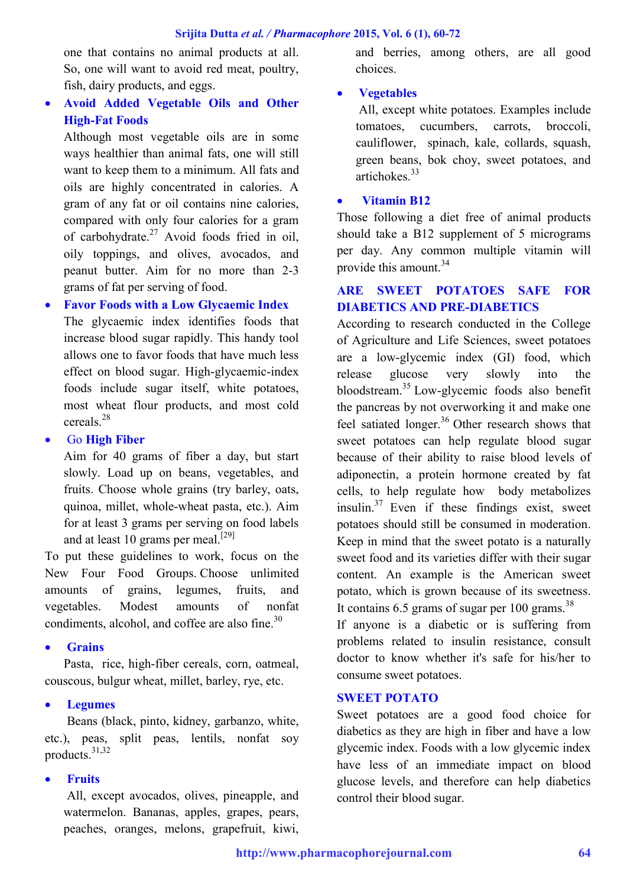one that contains no animal products at all. So, one will want to avoid red meat, poultry, fish, dairy products, and eggs.

# **Avoid Added Vegetable Oils and Other High-Fat Foods**

Although most vegetable oils are in some ways healthier than animal fats, one will still want to keep them to a minimum. All fats and oils are highly concentrated in calories. A gram of any fat or oil contains nine calories, compared with only four calories for a gram of carbohydrate. $27$  Avoid foods fried in oil, oily toppings, and olives, avocados, and peanut butter. Aim for no more than 2-3 grams of fat per serving of food.

## **Favor Foods with a Low Glycaemic Index**

The glycaemic index identifies foods that increase blood sugar rapidly. This handy tool allows one to favor foods that have much less effect on blood sugar. High-glycaemic-index foods include sugar itself, white potatoes, most wheat flour products, and most cold cereals.<sup>28</sup>

### Go **High Fiber**

Aim for 40 grams of fiber a day, but start slowly. Load up on beans, vegetables, and fruits. Choose whole grains (try barley, oats, quinoa, millet, whole-wheat pasta, etc.). Aim for at least 3 grams per serving on food labels and at least 10 grams per meal.<sup>[29]</sup>

To put these guidelines to work, focus on the New Four Food Groups. Choose unlimited amounts of grains, legumes, fruits, and vegetables. Modest amounts of nonfat condiments, alcohol, and coffee are also fine.<sup>30</sup>

### **Grains**

Pasta, rice, high-fiber cereals, corn, oatmeal, couscous, bulgur wheat, millet, barley, rye, etc.

## **Legumes**

Beans (black, pinto, kidney, garbanzo, white, etc.), peas, split peas, lentils, nonfat soy products.31,32

## **Fruits**

All, except avocados, olives, pineapple, and watermelon. Bananas, apples, grapes, pears, peaches, oranges, melons, grapefruit, kiwi, and berries, among others, are all good choices.

## **Vegetables**

All, except white potatoes. Examples include tomatoes, cucumbers, carrots, broccoli, cauliflower, spinach, kale, collards, squash, green beans, bok choy, sweet potatoes, and artichokes $33$ 

### **Vitamin B12**

Those following a diet free of animal products should take a B12 supplement of 5 micrograms per day. Any common multiple vitamin will provide this amount.<sup>34</sup>

## **ARE SWEET POTATOES SAFE FOR DIABETICS AND PRE-DIABETICS**

According to research conducted in the College of Agriculture and Life Sciences, sweet potatoes are a low-glycemic index (GI) food, which release glucose very slowly into the bloodstream.<sup>35</sup> Low-glycemic foods also benefit the pancreas by not overworking it and make one feel satiated longer.<sup>36</sup> Other research shows that sweet potatoes can help regulate blood sugar because of their ability to raise blood levels of adiponectin, a protein hormone created by fat cells, to help regulate how body metabolizes insulin. $37$  Even if these findings exist, sweet potatoes should still be consumed in moderation. Keep in mind that the sweet potato is a naturally sweet food and its varieties differ with their sugar content. An example is the American sweet potato, which is grown because of its sweetness. It contains 6.5 grams of sugar per 100 grams. $^{38}$ 

If anyone is a diabetic or is suffering from problems related to insulin resistance, consult doctor to know whether it's safe for his/her to consume sweet potatoes.

### **SWEET POTATO**

Sweet potatoes are a good food choice for diabetics as they are high in fiber and have a low glycemic index. Foods with a low glycemic index have less of an immediate impact on blood glucose levels, and therefore can help diabetics control their blood sugar.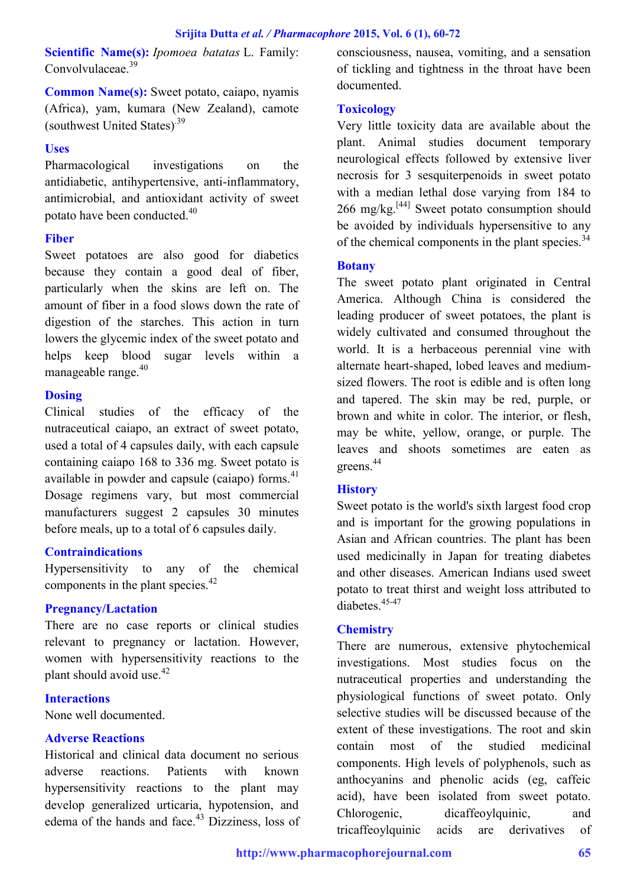**Scientific Name(s):** *Ipomoea batatas* L. Family: Convolvulaceae.<sup>39</sup>

**Common Name(s):** Sweet potato, caiapo, nyamis (Africa), yam, kumara (New Zealand), camote (southwest United States).39

### **Uses**

Pharmacological investigations on the antidiabetic, antihypertensive, anti-inflammatory, antimicrobial, and antioxidant activity of sweet potato have been conducted.<sup>40</sup>

### **Fiber**

Sweet potatoes are also good for diabetics because they contain a good deal of fiber, particularly when the skins are left on. The amount of fiber in a food slows down the rate of digestion of the starches. This action in turn lowers the glycemic index of the sweet potato and helps keep blood sugar levels within a manageable range. $40$ 

### **Dosing**

Clinical studies of the efficacy of the nutraceutical caiapo, an extract of sweet potato, used a total of 4 capsules daily, with each capsule containing caiapo 168 to 336 mg. Sweet potato is available in powder and capsule (caiapo) forms. $41$ Dosage regimens vary, but most commercial manufacturers suggest 2 capsules 30 minutes before meals, up to a total of 6 capsules daily.

### **Contraindications**

Hypersensitivity to any of the chemical components in the plant species.<sup>42</sup>

### **Pregnancy/Lactation**

There are no case reports or clinical studies relevant to pregnancy or lactation. However, women with hypersensitivity reactions to the plant should avoid use.<sup>42</sup>

### **Interactions**

None well documented.

## **Adverse Reactions**

Historical and clinical data document no serious adverse reactions. Patients with known hypersensitivity reactions to the plant may develop generalized urticaria, hypotension, and edema of the hands and face. $43$  Dizziness, loss of consciousness, nausea, vomiting, and a sensation of tickling and tightness in the throat have been documented.

## **Toxicology**

Very little toxicity data are available about the plant. Animal studies document temporary neurological effects followed by extensive liver necrosis for 3 sesquiterpenoids in sweet potato with a median lethal dose varying from 184 to  $266 \text{ mg/kg}$ <sup>[44]</sup> Sweet potato consumption should be avoided by individuals hypersensitive to any of the chemical components in the plant species.<sup>34</sup>

### **Botany**

The sweet potato plant originated in Central America. Although China is considered the leading producer of sweet potatoes, the plant is widely cultivated and consumed throughout the world. It is a herbaceous perennial vine with alternate heart-shaped, lobed leaves and mediumsized flowers. The root is edible and is often long and tapered. The skin may be red, purple, or brown and white in color. The interior, or flesh, may be white, yellow, orange, or purple. The leaves and shoots sometimes are eaten as greens.<sup>44</sup>

## **History**

Sweet potato is the world's sixth largest food crop and is important for the growing populations in Asian and African countries. The plant has been used medicinally in Japan for treating diabetes and other diseases. American Indians used sweet potato to treat thirst and weight loss attributed to diabetes.45-47

## **Chemistry**

There are numerous, extensive phytochemical investigations. Most studies focus on the nutraceutical properties and understanding the physiological functions of sweet potato. Only selective studies will be discussed because of the extent of these investigations. The root and skin contain most of the studied medicinal components. High levels of polyphenols, such as anthocyanins and phenolic acids (eg, caffeic acid), have been isolated from sweet potato. Chlorogenic, dicaffeoylquinic, and tricaffeoylquinic acids are derivatives of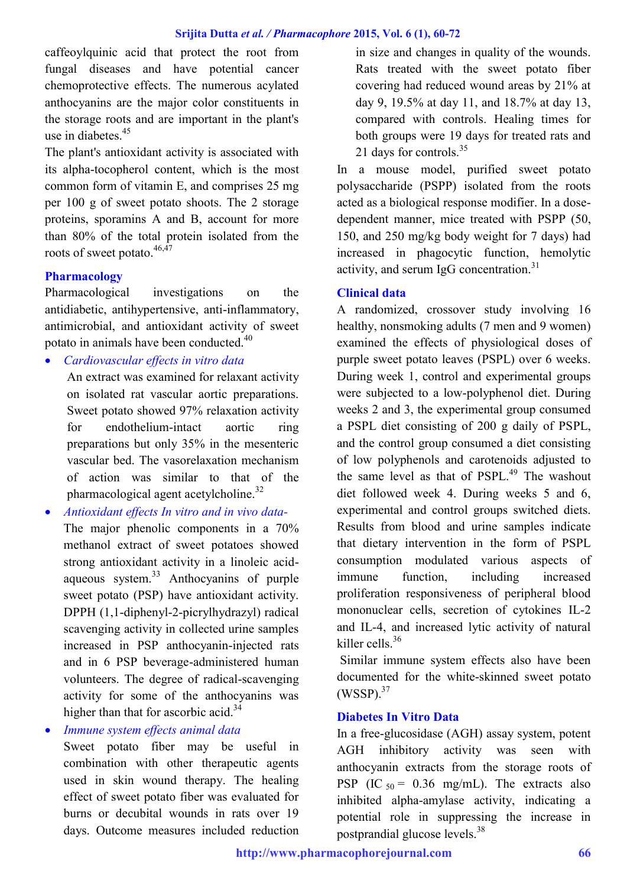caffeoylquinic acid that protect the root from fungal diseases and have potential cancer chemoprotective effects. The numerous acylated anthocyanins are the major color constituents in the storage roots and are important in the plant's use in diabetes.<sup>45</sup>

The plant's antioxidant activity is associated with its alpha-tocopherol content, which is the most common form of vitamin E, and comprises 25 mg per 100 g of sweet potato shoots. The 2 storage proteins, sporamins A and B, account for more than 80% of the total protein isolated from the roots of sweet potato.<sup>46,47</sup>

### **Pharmacology**

Pharmacological investigations on the antidiabetic, antihypertensive, anti-inflammatory, antimicrobial, and antioxidant activity of sweet potato in animals have been conducted.<sup>40</sup>

*Cardiovascular effects in vitro data*

An extract was examined for relaxant activity on isolated rat vascular aortic preparations. Sweet potato showed 97% relaxation activity for endothelium-intact aortic ring preparations but only 35% in the mesenteric vascular bed. The vasorelaxation mechanism of action was similar to that of the pharmacological agent acetylcholine.<sup>32</sup>

 *Antioxidant effects In vitro and in vivo data-*The major phenolic components in a 70% methanol extract of sweet potatoes showed strong antioxidant activity in a linoleic acidaqueous system.<sup>33</sup> Anthocyanins of purple sweet potato (PSP) have antioxidant activity. DPPH (1,1-diphenyl-2-picrylhydrazyl) radical scavenging activity in collected urine samples increased in PSP anthocyanin-injected rats and in 6 PSP beverage-administered human volunteers. The degree of radical-scavenging activity for some of the anthocyanins was higher than that for ascorbic acid. $34$ 

*Immune system effects animal data*

Sweet potato fiber may be useful in combination with other therapeutic agents used in skin wound therapy. The healing effect of sweet potato fiber was evaluated for burns or decubital wounds in rats over 19 days. Outcome measures included reduction

in size and changes in quality of the wounds. Rats treated with the sweet potato fiber covering had reduced wound areas by 21% at day 9, 19.5% at day 11, and 18.7% at day 13, compared with controls. Healing times for both groups were 19 days for treated rats and 21 days for controls. $35$ 

In a mouse model, purified sweet potato polysaccharide (PSPP) isolated from the roots acted as a biological response modifier. In a dosedependent manner, mice treated with PSPP (50, 150, and 250 mg/kg body weight for 7 days) had increased in phagocytic function, hemolytic activity, and serum IgG concentration. $31$ 

### **Clinical data**

A randomized, crossover study involving 16 healthy, nonsmoking adults (7 men and 9 women) examined the effects of physiological doses of purple sweet potato leaves (PSPL) over 6 weeks. During week 1, control and experimental groups were subjected to a low-polyphenol diet. During weeks 2 and 3, the experimental group consumed a PSPL diet consisting of 200 g daily of PSPL, and the control group consumed a diet consisting of low polyphenols and carotenoids adjusted to the same level as that of PSPL.<sup>49</sup> The washout diet followed week 4. During weeks 5 and 6, experimental and control groups switched diets. Results from blood and urine samples indicate that dietary intervention in the form of PSPL consumption modulated various aspects of immune function, including increased proliferation responsiveness of peripheral blood mononuclear cells, secretion of cytokines IL-2 and IL-4, and increased lytic activity of natural killer cells<sup>36</sup>

Similar immune system effects also have been documented for the white-skinned sweet potato  $(WSSP).$ <sup>37</sup>

### **Diabetes In Vitro Data**

In a free-glucosidase (AGH) assay system, potent AGH inhibitory activity was seen with anthocyanin extracts from the storage roots of PSP (IC  $_{50}$  = 0.36 mg/mL). The extracts also inhibited alpha-amylase activity, indicating a potential role in suppressing the increase in postprandial glucose levels.<sup>38</sup>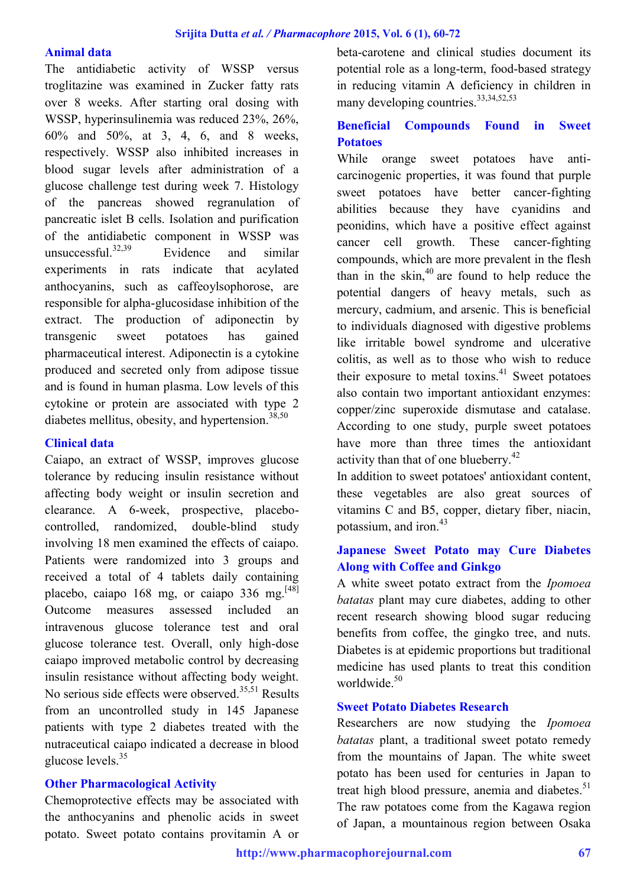#### **Animal data**

The antidiabetic activity of WSSP versus troglitazine was examined in Zucker fatty rats over 8 weeks. After starting oral dosing with WSSP, hyperinsulinemia was reduced 23%, 26%, 60% and 50%, at 3, 4, 6, and 8 weeks, respectively. WSSP also inhibited increases in blood sugar levels after administration of a glucose challenge test during week 7. Histology of the pancreas showed regranulation of pancreatic islet B cells. Isolation and purification of the antidiabetic component in WSSP was unsuccessful.<sup>32,39</sup> Evidence and similar experiments in rats indicate that acylated anthocyanins, such as caffeoylsophorose, are responsible for alpha-glucosidase inhibition of the extract. The production of adiponectin by transgenic sweet potatoes has gained pharmaceutical interest. Adiponectin is a cytokine produced and secreted only from adipose tissue and is found in human plasma. Low levels of this cytokine or protein are associated with type 2 diabetes mellitus, obesity, and hypertension. $38,50$ 

#### **Clinical data**

Caiapo, an extract of WSSP, improves glucose tolerance by reducing insulin resistance without affecting body weight or insulin secretion and clearance. A 6-week, prospective, placebocontrolled, randomized, double-blind study involving 18 men examined the effects of caiapo. Patients were randomized into 3 groups and received a total of 4 tablets daily containing placebo, caiapo 168 mg, or caiapo 336 mg.<sup>[48]</sup> Outcome measures assessed included an intravenous glucose tolerance test and oral glucose tolerance test. Overall, only high-dose caiapo improved metabolic control by decreasing insulin resistance without affecting body weight. No serious side effects were observed.<sup>35,51</sup> Results from an uncontrolled study in 145 Japanese patients with type 2 diabetes treated with the nutraceutical caiapo indicated a decrease in blood glucose levels.<sup>35</sup>

### **Other Pharmacological Activity**

Chemoprotective effects may be associated with the anthocyanins and phenolic acids in sweet potato. Sweet potato contains provitamin A or

beta-carotene and clinical studies document its potential role as a long-term, food-based strategy in reducing vitamin A deficiency in children in many developing countries.<sup>33,34,52,53</sup>

## **Beneficial Compounds Found in Sweet Potatoes**

While orange sweet potatoes have anticarcinogenic properties, it was found that purple sweet potatoes have better cancer-fighting abilities because they have cyanidins and peonidins, which have a positive effect against cancer cell growth. These cancer-fighting compounds, which are more prevalent in the flesh than in the skin, $40$  are found to help reduce the potential dangers of heavy metals, such as mercury, cadmium, and arsenic. This is beneficial to individuals diagnosed with digestive problems like irritable bowel syndrome and ulcerative colitis, as well as to those who wish to reduce their exposure to metal toxins. $41$  Sweet potatoes also contain two important antioxidant enzymes: copper/zinc superoxide dismutase and catalase. According to one study, purple sweet potatoes have more than three times the antioxidant activity than that of one blueberry.<sup>42</sup>

In addition to sweet potatoes' antioxidant content, these vegetables are also great sources of vitamins C and B5, copper, dietary fiber, niacin, potassium, and iron  $43$ 

## **Japanese Sweet Potato may Cure Diabetes Along with Coffee and Ginkgo**

A white sweet potato extract from the *Ipomoea batatas* plant may cure diabetes, adding to other recent research showing blood sugar reducing benefits from coffee, the gingko tree, and nuts. Diabetes is at epidemic proportions but traditional medicine has used plants to treat this condition worldwide<sup>50</sup>

#### **Sweet Potato Diabetes Research**

Researchers are now studying the *Ipomoea batatas* plant, a traditional sweet potato remedy from the mountains of Japan. The white sweet potato has been used for centuries in Japan to treat high blood pressure, anemia and diabetes. $51$ The raw potatoes come from the Kagawa region of Japan, a mountainous region between Osaka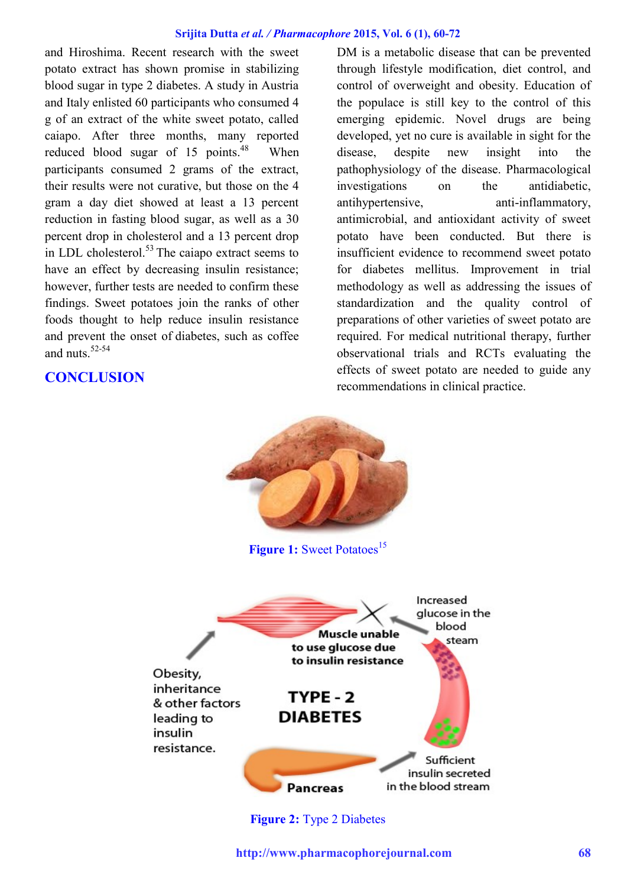and Hiroshima. Recent research with the sweet potato extract has shown promise in stabilizing blood sugar in type 2 diabetes. A study in Austria and Italy enlisted 60 participants who consumed 4 g of an extract of the white sweet potato, called caiapo. After three months, many reported reduced blood sugar of 15 points.<sup>48</sup> When participants consumed 2 grams of the extract, their results were not curative, but those on the 4 gram a day diet showed at least a 13 percent reduction in fasting blood sugar, as well as a 30 percent drop in cholesterol and a 13 percent drop in LDL cholesterol. $53$  The caiapo extract seems to have an effect by decreasing insulin resistance; however, further tests are needed to confirm these findings. Sweet potatoes join the ranks of other foods thought to help reduce insulin resistance and prevent the onset of [diabetes,](http://www.naturalnews.com/diabetes.html) such as coffee and nuts  $52-54$ 

## **CONCLUSION**

DM is a metabolic disease that can be prevented through lifestyle modification, diet control, and control of overweight and obesity. Education of the populace is still key to the control of this emerging epidemic. Novel drugs are being developed, yet no cure is available in sight for the disease, despite new insight into the pathophysiology of the disease. Pharmacological investigations on the antidiabetic, antihypertensive, anti-inflammatory, antimicrobial, and antioxidant activity of sweet potato have been conducted. But there is insufficient evidence to recommend sweet potato for diabetes mellitus. Improvement in trial methodology as well as addressing the issues of standardization and the quality control of preparations of other varieties of sweet potato are required. For medical nutritional therapy, further observational trials and RCTs evaluating the effects of sweet potato are needed to guide any recommendations in clinical practice.



**Figure 2:** Type 2 Diabetes

**http://www.pharmacophorejournal.com 68**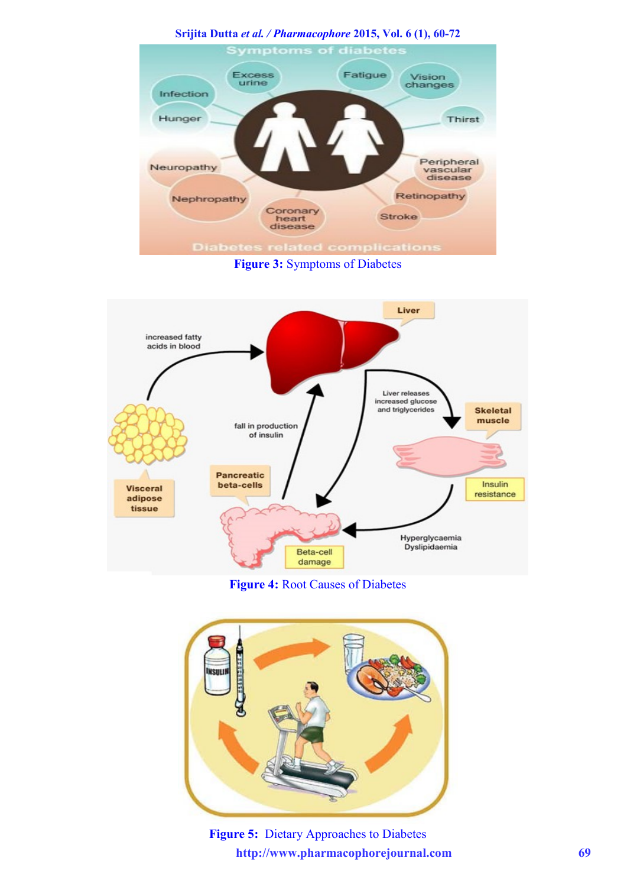**Srijita Dutta** *et al. / Pharmacophore* **2015, Vol. 6 (1), 60-72 Symptoms of diabetes** Excess<br>urine Fatigue Vision changes Infection Hunger Thirst Peripheral Neuropathy vascular<br>disease Retinopathy Nephropathy Coronary<br>heart<br>disease Stroke **Diabete** plication

**Figure 3:** Symptoms of Diabetes



**Figure 4:** Root Causes of Diabetes



**http://www.pharmacophorejournal.com 69 Figure 5:** Dietary Approaches to Diabetes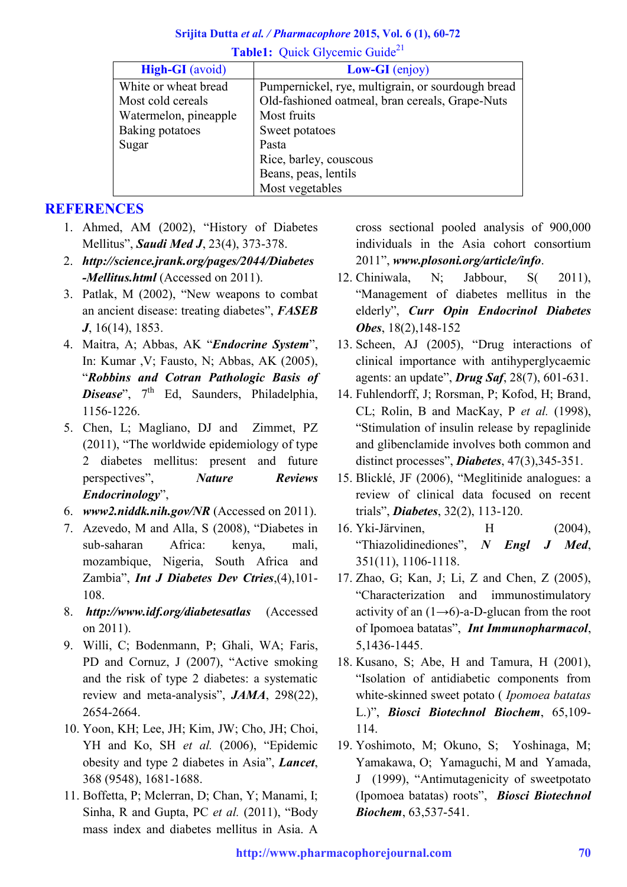### **Srijita Dutta** *et al. / Pharmacophore* **2015, Vol. 6 (1), 60-72 Table1:** Ouick Glycemic Guide<sup>21</sup>

| <b>High-GI</b> (avoid) | $Low\text{-}GI$ (enjoy)                           |
|------------------------|---------------------------------------------------|
| White or wheat bread   | Pumpernickel, rye, multigrain, or sourdough bread |
| Most cold cereals      | Old-fashioned oatmeal, bran cereals, Grape-Nuts   |
| Watermelon, pineapple  | Most fruits                                       |
| Baking potatoes        | Sweet potatoes                                    |
| Sugar                  | Pasta                                             |
|                        | Rice, barley, couscous                            |
|                        | Beans, peas, lentils                              |
|                        | Most vegetables                                   |

# **REFERENCES**

- 1. Ahmed, AM (2002), "History of Diabetes Mellitus", *Saudi Med J*, 23(4), 373-378.
- 2. *[http://science.jrank.org/pages/2044/Diabetes](http://science.jrank.org/pages/2044/Diabetes-Mellitus.html) [-Mellitus.html](http://science.jrank.org/pages/2044/Diabetes-Mellitus.html)* (Accessed on 2011).
- 3. Patlak, M (2002), "New weapons to combat an ancient disease: treating diabetes", *FASEB J*, 16(14), 1853.
- 4. Maitra, A; Abbas, AK "*Endocrine System*", In: Kumar ,V; Fausto, N; Abbas, AK (2005), "*Robbins and Cotran Pathologic Basis of Disease*", 7<sup>th</sup> Ed, Saunders, Philadelphia, 1156-1226.
- 5. Chen, L; Magliano, DJ and Zimmet, PZ (2011), "The worldwide epidemiology of type 2 diabetes mellitus: present and future perspectives", *Nature Reviews Endocrinology*",
- 6. *[www2.niddk.nih.gov/NR](http://www2.niddk.nih.gov/NR)* (Accessed on 2011).
- 7. Azevedo, M and Alla, S (2008), "Diabetes in sub-saharan Africa: kenya, mali, mozambique, Nigeria, South Africa and Zambia", *Int J Diabetes Dev Ctries*,(4),101- 108.
- 8. *<http://www.idf.org/diabetesatlas>* (Accessed on 2011).
- 9. Willi, C; Bodenmann, P; Ghali, WA; Faris, PD and Cornuz, J (2007), "Active smoking and the risk of type 2 diabetes: a systematic review and meta-analysis", *JAMA*, 298(22), 2654-2664.
- 10. Yoon, KH; Lee, JH; Kim, JW; Cho, JH; Choi, YH and Ko, SH *et al.* (2006), "Epidemic obesity and type 2 diabetes in Asia", *Lancet*, 368 (9548), 1681-1688.
- 11. Boffetta, P; Mclerran, D; Chan, Y; Manami, I; Sinha, R and Gupta, PC *et al.* (2011), "Body mass index and diabetes mellitus in Asia. A

cross sectional pooled analysis of 900,000 individuals in the Asia cohort consortium 2011", *[www.plosoni.org/article/info](http://www.plosoni.org/article/info)*.

- 12. Chiniwala, N; Jabbour, S( 2011), "Management of diabetes mellitus in the elderly", *Curr Opin Endocrinol Diabetes Obes*, 18(2),148-152
- 13. Scheen, AJ (2005), "Drug interactions of clinical importance with antihyperglycaemic agents: an update", *Drug Saf*, 28(7), 601-631.
- 14. Fuhlendorff, J; Rorsman, P; Kofod, H; Brand, CL; Rolin, B and MacKay, P *et al.* (1998), "Stimulation of insulin release by repaglinide and glibenclamide involves both common and distinct processes", *Diabetes*, 47(3),345-351.
- 15. Blicklé, JF (2006), "Meglitinide analogues: a review of clinical data focused on recent trials", *Diabetes*, 32(2), 113-120.
- 16. Yki-Järvinen, H (2004), "Thiazolidinediones", *N Engl J Med*, 351(11), 1106-1118.
- 17. Zhao, G; Kan, J; Li, Z and Chen, Z (2005), "Characterization and immunostimulatory activity of an  $(1\rightarrow 6)$ -a-D-glucan from the root of Ipomoea batatas", *Int Immunopharmacol*, 5,1436-1445.
- 18. Kusano, S; Abe, H and Tamura, H (2001), "Isolation of antidiabetic components from white-skinned sweet potato ( *Ipomoea batatas*  L.)", *Biosci Biotechnol Biochem*, 65,109- 114.
- 19. Yoshimoto, M; Okuno, S; Yoshinaga, M; Yamakawa, O; Yamaguchi, M and Yamada, J (1999), "Antimutagenicity of sweetpotato (Ipomoea batatas) roots", *Biosci Biotechnol Biochem*, 63,537-541.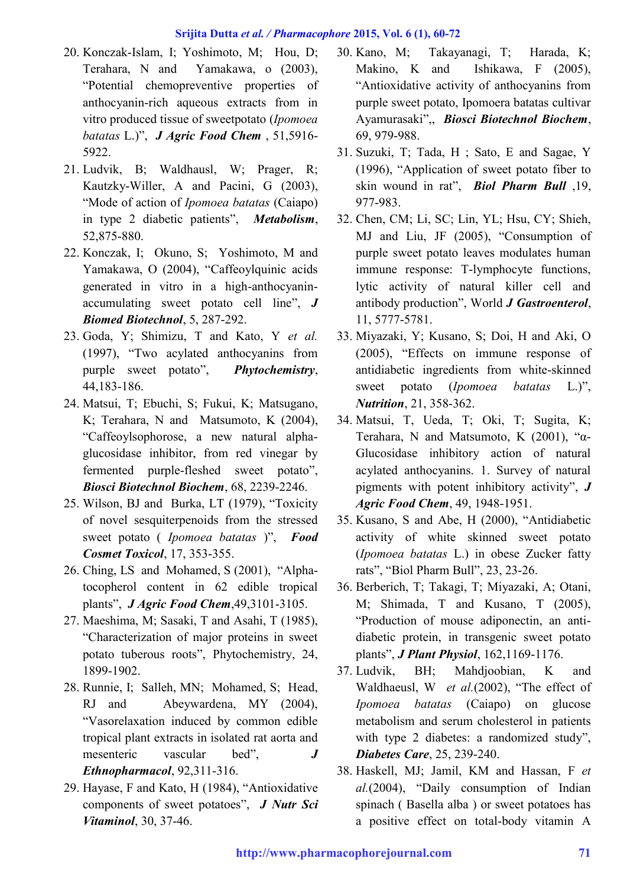- 20. Konczak-Islam, I; Yoshimoto, M; Hou, D; Terahara, N and Yamakawa, o (2003), "Potential chemopreventive properties of anthocyanin-rich aqueous extracts from in vitro produced tissue of sweetpotato (*Ipomoea batatas* L.)", *J Agric Food Chem* , 51,5916- 5922.
- 21. Ludvik, B; Waldhausl, W; Prager, R; Kautzky-Willer, A and Pacini, G (2003), "Mode of action of *Ipomoea batatas* (Caiapo) in type 2 diabetic patients", *Metabolism*, 52,875-880.
- 22. Konczak, I; Okuno, S; Yoshimoto, M and Yamakawa, O (2004), "Caffeoylquinic acids generated in vitro in a high-anthocyaninaccumulating sweet potato cell line", *J Biomed Biotechnol*, 5, 287-292.
- 23. Goda, Y; Shimizu, T and Kato, Y *et al.* (1997), "Two acylated anthocyanins from purple sweet potato", *Phytochemistry*, 44,183-186.
- 24. Matsui, T; Ebuchi, S; Fukui, K; Matsugano, K; Terahara, N and Matsumoto, K (2004), "Caffeoylsophorose, a new natural alphaglucosidase inhibitor, from red vinegar by fermented purple-fleshed sweet potato", *Biosci Biotechnol Biochem*, 68, 2239-2246.
- 25. Wilson, BJ and Burka, LT (1979), "Toxicity of novel sesquiterpenoids from the stressed sweet potato ( *Ipomoea batatas* )", *Food Cosmet Toxicol*, 17, 353-355.
- 26. Ching, LS and Mohamed, S (2001), "Alphatocopherol content in 62 edible tropical plants", *J Agric Food Chem*,49,3101-3105.
- 27. Maeshima, M; Sasaki, T and Asahi, T (1985), "Characterization of major proteins in sweet potato tuberous roots", Phytochemistry, 24, 1899-1902.
- 28. Runnie, I; Salleh, MN; Mohamed, S; Head, RJ and Abeywardena, MY (2004), "Vasorelaxation induced by common edible tropical plant extracts in isolated rat aorta and mesenteric vascular bed", *J Ethnopharmacol*, 92,311-316.
- 29. Hayase, F and Kato, H (1984), "Antioxidative components of sweet potatoes", *J Nutr Sci Vitaminol*, 30, 37-46.
- 30. Kano, M; Takayanagi, T; Harada, K; Makino, K and Ishikawa, F (2005), "Antioxidative activity of anthocyanins from purple sweet potato, Ipomoera batatas cultivar Ayamurasaki",, *Biosci Biotechnol Biochem*, 69, 979-988.
- 31. Suzuki, T; Tada, H ; Sato, E and Sagae, Y (1996), "Application of sweet potato fiber to skin wound in rat", *Biol Pharm Bull* ,19, 977-983.
- 32. Chen, CM; Li, SC; Lin, YL; Hsu, CY; Shieh, MJ and Liu, JF (2005), "Consumption of purple sweet potato leaves modulates human immune response: T-lymphocyte functions, lytic activity of natural killer cell and antibody production", World *J Gastroenterol*, 11, 5777-5781.
- 33. Miyazaki, Y; Kusano, S; Doi, H and Aki, O (2005), "Effects on immune response of antidiabetic ingredients from white-skinned sweet potato (*Ipomoea batatas* L.)", *Nutrition*, 21, 358-362.
- 34. Matsui, T, Ueda, T; Oki, T; Sugita, K; Terahara, N and Matsumoto, K (2001), "α-Glucosidase inhibitory action of natural acylated anthocyanins. 1. Survey of natural pigments with potent inhibitory activity", *J Agric Food Chem*, 49, 1948-1951.
- 35. Kusano, S and Abe, H (2000), "Antidiabetic activity of white skinned sweet potato (*Ipomoea batatas* L.) in obese Zucker fatty rats", "Biol Pharm Bull", 23, 23-26.
- 36. Berberich, T; Takagi, T; Miyazaki, A; Otani, M; Shimada, T and Kusano, T (2005), "Production of mouse adiponectin, an antidiabetic protein, in transgenic sweet potato plants", *J Plant Physiol*, 162,1169-1176.
- 37. Ludvik, BH; Mahdjoobian, K and Waldhaeusl, W *et al.*(2002), "The effect of *Ipomoea batatas* (Caiapo) on glucose metabolism and serum cholesterol in patients with type 2 diabetes: a randomized study", *Diabetes Care*, 25, 239-240.
- 38. Haskell, MJ; Jamil, KM and Hassan, F *et al.*(2004), "Daily consumption of Indian spinach ( Basella alba ) or sweet potatoes has a positive effect on total-body vitamin A